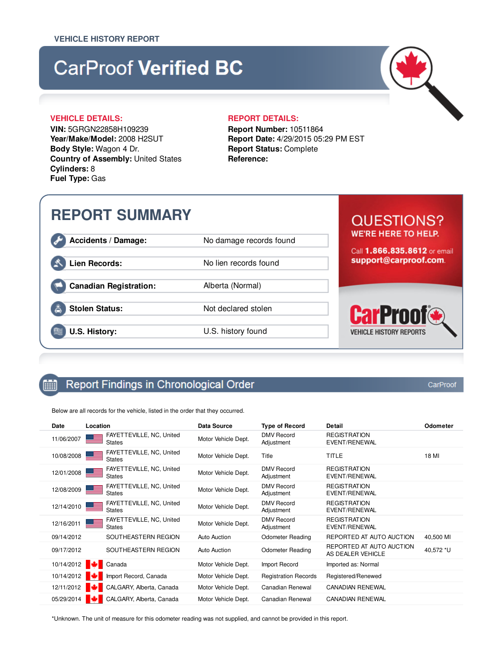# **CarProof Verified BC**

# **VEHICLE DETAILS: REPORT DETAILS:**

**VIN:** 5GRGN22858H109239 **Year/Make/Model:** 2008 H2SUT **Body Style:** Wagon 4 Dr. **Country of Assembly:** United States **Cylinders:** 8 **Fuel Type:** Gas

**Report Number:** 10511864 **Report Date:** 4/29/2015 05:29 PM EST **Report Status:** Complete **Reference:**

# **REPORT SUMMARY**

**Accidents / Damage:** No damage records found

# Lien Records: No lien records found

**Canadian Registration:** Alberta (Normal)

**Stolen Status:** Not declared stolen

**U.S. History:** U.S. history found

# **QUESTIONS? WE'RE HERE TO HELP.**

Call 1.866.835.8612 or email support@carproof.com.



#### Report Findings in Chronological Order 鯆

Below are all records for the vehicle, listed in the order that they occurred.

| Date       | Location                                  | Data Source         | <b>Type of Record</b>           | Detail                                        | Odometer  |
|------------|-------------------------------------------|---------------------|---------------------------------|-----------------------------------------------|-----------|
| 11/06/2007 | FAYETTEVILLE, NC, United<br><b>States</b> | Motor Vehicle Dept. | <b>DMV</b> Record<br>Adjustment | <b>REGISTRATION</b><br>EVENT/RENEWAL          |           |
| 10/08/2008 | FAYETTEVILLE, NC, United<br><b>States</b> | Motor Vehicle Dept. | Title                           | TITLE                                         | 18 MI     |
| 12/01/2008 | FAYETTEVILLE, NC, United<br><b>States</b> | Motor Vehicle Dept. | <b>DMV</b> Record<br>Adjustment | <b>REGISTRATION</b><br>EVENT/RENEWAL          |           |
| 12/08/2009 | FAYETTEVILLE, NC, United<br><b>States</b> | Motor Vehicle Dept. | <b>DMV</b> Record<br>Adjustment | <b>REGISTRATION</b><br>EVENT/RENEWAL          |           |
| 12/14/2010 | FAYETTEVILLE, NC, United<br><b>States</b> | Motor Vehicle Dept. | <b>DMV</b> Record<br>Adjustment | <b>REGISTRATION</b><br>EVENT/RENEWAL          |           |
| 12/16/2011 | FAYETTEVILLE, NC, United<br><b>States</b> | Motor Vehicle Dept. | <b>DMV</b> Record<br>Adjustment | <b>REGISTRATION</b><br>EVENT/RENEWAL          |           |
| 09/14/2012 | SOUTHEASTERN REGION                       | Auto Auction        | <b>Odometer Reading</b>         | REPORTED AT AUTO AUCTION                      | 40,500 MI |
| 09/17/2012 | SOUTHEASTERN REGION                       | Auto Auction        | <b>Odometer Reading</b>         | REPORTED AT AUTO AUCTION<br>AS DEALER VEHICLE | 40,572 *U |
| 10/14/2012 | Canada                                    | Motor Vehicle Dept. | Import Record                   | Imported as: Normal                           |           |
| 10/14/2012 | Import Record, Canada                     | Motor Vehicle Dept. | <b>Registration Records</b>     | Registered/Renewed                            |           |
| 12/11/2012 | CALGARY, Alberta, Canada                  | Motor Vehicle Dept. | Canadian Renewal                | <b>CANADIAN RENEWAL</b>                       |           |
| 05/29/2014 | CALGARY, Alberta, Canada                  | Motor Vehicle Dept. | Canadian Renewal                | <b>CANADIAN RENEWAL</b>                       |           |

\*Unknown. The unit of measure for this odometer reading was not supplied, and cannot be provided in this report.

CarProof

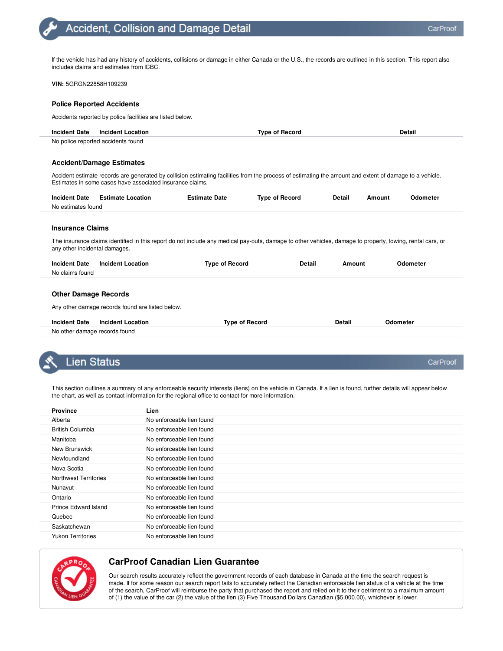If the vehicle has had any history of accidents, collisions or damage in either Canada or the U.S., the records are outlined in this section. This report also includes claims and estimates from ICBC.

**VIN:** 5GRGN22858H109239

#### **Police Reported Accidents**

Accidents reported by police facilities are listed below.

| <b>Incident Date</b>               | Incident Location | <b>Type of Record</b> | Detail |
|------------------------------------|-------------------|-----------------------|--------|
| No police reported accidents found |                   |                       |        |

### **Accident/Damage Estimates**

Accident estimate records are generated by collision estimating facilities from the process of estimating the amount and extent of damage to a vehicle. Estimates in some cases have associated insurance claims.

| <b>Incident Date</b>    | Estimate<br>-ocation | <i>c</i> stimate<br>Date | Record<br>ivne.<br>ΩŤ | Detail<br>____ | <b>Amount</b> | Odometer |
|-------------------------|----------------------|--------------------------|-----------------------|----------------|---------------|----------|
| No e<br>estimates found |                      |                          |                       |                |               |          |

#### **Insurance Claims**

The insurance claims identified in this report do not include any medical pay-outs, damage to other vehicles, damage to property, towing, rental cars, or any other incidental damages.

| <b>Incident Date</b> | <b>Incident Location</b> | <b>Type of Record</b> | <b>Detail</b> | Amount | Odometer |
|----------------------|--------------------------|-----------------------|---------------|--------|----------|
| No claims found      |                          |                       |               |        |          |
|                      |                          |                       |               |        |          |

# **Other Damage Records**

Any other damage records found are listed below.

|                               | Incident Date Incident Location | <b>Type of Record</b> | <b>Detail</b> | Odometer |
|-------------------------------|---------------------------------|-----------------------|---------------|----------|
| No other damage records found |                                 |                       |               |          |

# Lien Status

This section outlines a summary of any enforceable security interests (liens) on the vehicle in Canada. If a lien is found, further details will appear below the chart, as well as contact information for the regional office to contact for more information.

| <b>Province</b>         | Lien                      |
|-------------------------|---------------------------|
| Alberta                 | No enforceable lien found |
| <b>British Columbia</b> | No enforceable lien found |
| Manitoba                | No enforceable lien found |
| New Brunswick           | No enforceable lien found |
| Newfoundland            | No enforceable lien found |
| Nova Scotia             | No enforceable lien found |
| Northwest Territories   | No enforceable lien found |
| Nunavut                 | No enforceable lien found |
| Ontario                 | No enforceable lien found |
| Prince Edward Island    | No enforceable lien found |
| Quebec                  | No enforceable lien found |
| Saskatchewan            | No enforceable lien found |
| Yukon Territories       | No enforceable lien found |



# **CarProof Canadian Lien Guarantee**

Our search results accurately reflect the government records of each database in Canada at the time the search request is made. If for some reason our search report fails to accurately reflect the Canadian enforceable lien status of a vehicle at the time of the search, CarProof will reimburse the party that purchased the report and relied on it to their detriment to a maximum amount of (1) the value of the car (2) the value of the lien (3) Five Thousand Dollars Canadian (\$5,000.00), whichever is lower.

CarProof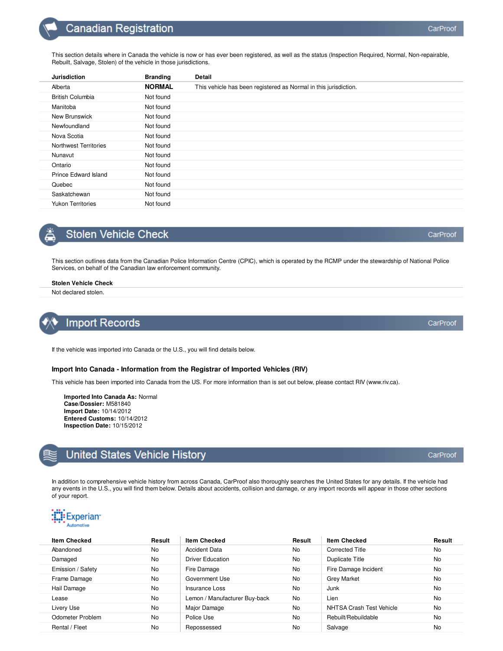This section details where in Canada the vehicle is now or has ever been registered, as well as the status (Inspection Required, Normal, Non-repairable, Rebuilt, Salvage, Stolen) of the vehicle in those jurisdictions.

| <b>Jurisdiction</b>          | <b>Branding</b> | <b>Detail</b>                                                    |
|------------------------------|-----------------|------------------------------------------------------------------|
| Alberta                      | <b>NORMAL</b>   | This vehicle has been registered as Normal in this jurisdiction. |
| <b>British Columbia</b>      | Not found       |                                                                  |
| Manitoba                     | Not found       |                                                                  |
| New Brunswick                | Not found       |                                                                  |
| Newfoundland                 | Not found       |                                                                  |
| Nova Scotia                  | Not found       |                                                                  |
| <b>Northwest Territories</b> | Not found       |                                                                  |
| Nunavut                      | Not found       |                                                                  |
| Ontario                      | Not found       |                                                                  |
| <b>Prince Edward Island</b>  | Not found       |                                                                  |
| Quebec                       | Not found       |                                                                  |
| Saskatchewan                 | Not found       |                                                                  |
| <b>Yukon Territories</b>     | Not found       |                                                                  |

# **Stolen Vehicle Check**

This section outlines data from the Canadian Police Information Centre (CPIC), which is operated by the RCMP under the stewardship of National Police Services, on behalf of the Canadian law enforcement community.

# **Stolen Vehicle Check**

Not declared stolen.

# **Import Records**

If the vehicle was imported into Canada or the U.S., you will find details below.

# **Import Into Canada - Information from the Registrar of Imported Vehicles (RIV)**

This vehicle has been imported into Canada from the US. For more information than is set out below, please contact RIV (www.riv.ca).

**Imported Into Canada As:** Normal **Case/Dossier:** M581840 **Import Date:** 10/14/2012 **Entered Customs:** 10/14/2012 **Inspection Date:** 10/15/2012

# **United States Vehicle History**

In addition to comprehensive vehicle history from across Canada, CarProof also thoroughly searches the United States for any details. If the vehicle had any events in the U.S., you will find them below. Details about accidents, collision and damage, or any import records will appear in those other sections of your report.



| <b>Item Checked</b> | Result    | <b>Item Checked</b>           | Result    | <b>Item Checked</b>      | Result    |
|---------------------|-----------|-------------------------------|-----------|--------------------------|-----------|
| Abandoned           | No        | <b>Accident Data</b>          | No.       | <b>Corrected Title</b>   | No.       |
| Damaged             | No        | <b>Driver Education</b>       | No        | Duplicate Title          | No        |
| Emission / Safety   | No        | Fire Damage                   | <b>No</b> | Fire Damage Incident     | No        |
| Frame Damage        | <b>No</b> | Government Use                | <b>No</b> | <b>Grey Market</b>       | <b>No</b> |
| Hail Damage         | <b>No</b> | Insurance Loss                | No        | Junk                     | No        |
| Lease               | <b>No</b> | Lemon / Manufacturer Buy-back | No        | Lien                     | No        |
| Livery Use          | No        | Major Damage                  | <b>No</b> | NHTSA Crash Test Vehicle | <b>No</b> |
| Odometer Problem    | <b>No</b> | Police Use                    | No        | Rebuilt/Rebuildable      | No        |
| Rental / Fleet      | No        | Repossessed                   | No        | Salvage                  | No        |
|                     |           |                               |           |                          |           |



# CarProof

CarProof